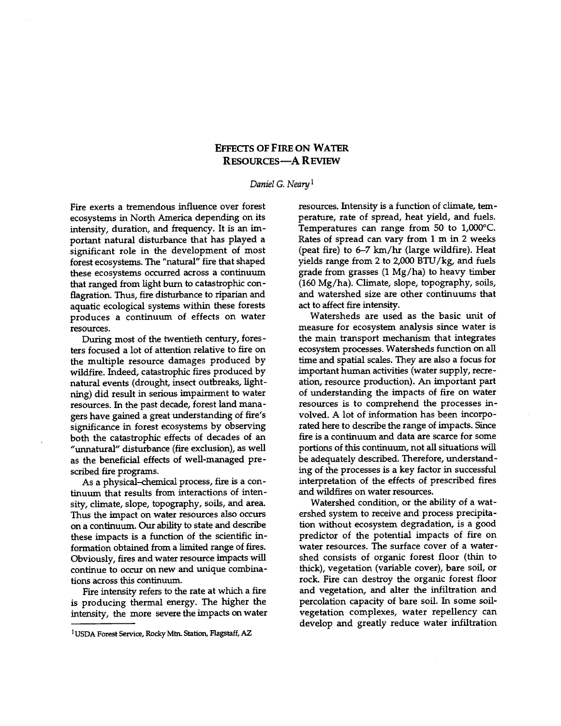# EFFECTS OF F IRE ON WATER RESOURCES -A REVIEW

## Daniel G. Neary<sup>1</sup>

Fire exerts a tremendous influence over forest ecosystems in North America depending on its intensity, duration, and frequency. It is an important natural disturbance that has played a significant role in the development of most forest ecosystems. The "natural" fire that shaped these ecosystems occurred across a continuum that ranged from light burn to catastrophic conflagration. Thus, fire disturbance to riparian and aquatic ecological systems within these forests produces a continuum of effects on water resources.

During most of the twentieth century, foresters focused a lot of attention relative to fire on the multiple resource damages produced by wildfire. Indeed, catastrophic fires produced by natural events (drought, insect outbreaks, lightning) did result in serious impairment to water resources. In the past decade, forest land managers have gained a great understanding of fire's significance in forest ecosystems by observing both the catastrophic effects of decades of an "unnatural" disturbance (fire exclusion), as well as the beneficial effects of well-managed prescribed fire programs.

As a physical-chemical process, fire is a continuum that results from interactions of intensity, climate, slope, topography, soils, and area. Thus the impact on water resources also occurs on a continuum. Our ability to state and describe these impacts is a function of the scientific information obtained from a limited range of fires. Obviously, fires and water resource impacts will continue to occur on new and unique combinations across this continuum.

Fire intensity refers to the rate at which a fire is producing thermal energy. The higher the intensity, the more severe the impacts on water resources. Intensity is a function of climate, temperature, rate of spread, heat yield, and fuels. Temperatures can range from 50 to  $1,000$ °C. Rates of spread can vary from 1 m in 2 weeks (peat fire) to 6-7 km/hr (large wildfire). Heat yields range from 2 to 2,000 BTU/ $kg$ , and fuels grade from grasses (1 Mg /ha) to heavy timber (160 Mg /ha). Climate, slope, topography, soils, and watershed size are other continuums that act to affect fire intensity.

Watersheds are used as the basic unit of measure for ecosystem analysis since water is the main transport mechanism that integrates ecosystem processes. Watersheds function on all time and spatial scales. They are also a focus for important human activities (water supply, recreation, resource production). An important part of understanding the impacts of fire on water resources is to comprehend the processes involved. A lot of information has been incorporated here to describe the range of impacts. Since fire is a continuum and data are scarce for some portions of this continuum, not all situations will be adequately described. Therefore, understanding of the processes is a key factor in successful interpretation of the effects of prescribed fires and wildfires on water resources.

Watershed condition, or the ability of a watershed system to receive and process precipitation without ecosystem degradation, is a good predictor of the potential impacts of fire on water resources. The surface cover of a watershed consists of organic forest floor (thin to thick), vegetation (variable cover), bare soil, or rock. Fire can destroy the organic forest floor and vegetation, and alter the infiltration and percolation capacity of bare soil. In some soilvegetation complexes, water repellency can develop and greatly reduce water infiltration

<sup>1</sup> USDA Forest Service, Rocky Mtn. Station, Flagstaff, AZ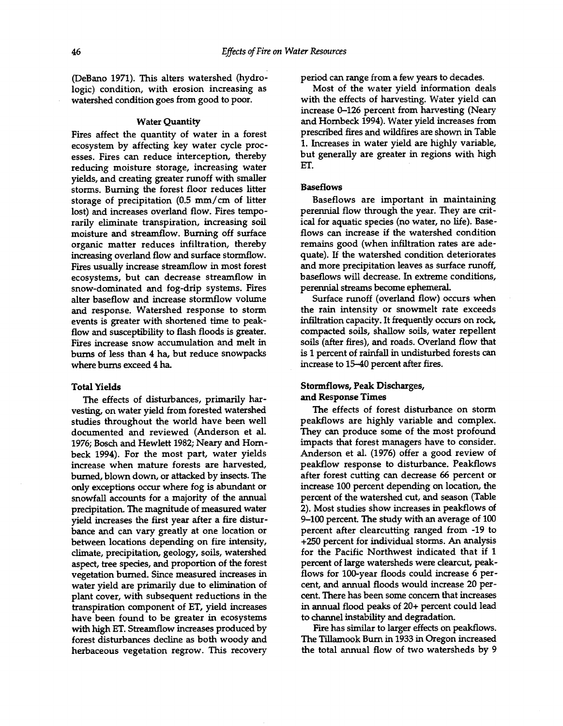(DeBano 1971). This alters watershed (hydrologic) condition, with erosion increasing as watershed condition goes from good to poor.

#### Water Quantity

Fires affect the quantity of water in a forest ecosystem by affecting key water cycle processes. Fires can reduce interception, thereby reducing moisture storage, increasing water yields, and creating greater runoff with smaller storms. Burning the forest floor reduces litter storage of precipitation (0.5 mm /cm of litter lost) and increases overland flow. Fires temporarily eliminate transpiration, increasing soil moisture and streamflow. Burning off surface organic matter reduces infiltration, thereby increasing overland flow and surface stormflow. Fires usually increase streamflow in most forest ecosystems, but can decrease streamflow in snow -dominated and fog -drip systems. Fires alter baseflow and increase stormflow volume and response. Watershed response to storm events is greater with shortened time to peak flow and susceptibility to flash floods is greater. Fires increase snow accumulation and melt in burns of less than 4 ha, but reduce snowpacks where burns exceed 4 ha.

#### Total Yields

The effects of disturbances, primarily harvesting, on water yield from forested watershed studies throughout the world have been well documented and reviewed (Anderson et al. 1976; Bosch and Hewlett 1982; Neary and Hornbeck 1994). For the most part, water yields increase when mature forests are harvested, burned, blown down, or attacked by insects. The only exceptions occur where fog is abundant or snowfall accounts for a majority of the annual precipitation. The magnitude of measured water yield increases the first year after a fire disturbance and can vary greatly at one location or between locations depending on fire intensity, climate, precipitation, geology, soils, watershed aspect, tree species, and proportion of the forest vegetation burned. Since measured increases in water yield are primarily due to elimination of plant cover, with subsequent reductions in the transpiration component of ET, yield increases have been found to be greater in ecosystems with high ET. Streamflow increases produced by forest disturbances decline as both woody and herbaceous vegetation regrow. This recovery

period can range from a few years to decades.

Most of the water yield information deals with the effects of harvesting. Water yield can increase 0-126 percent from harvesting (Neary and Hornbeck 1994). Water yield increases from prescribed fires and wildfires are shown in Table 1. Increases in water yield are highly variable, but generally are greater in regions with high ET.

#### **Baseflows**

Baseflows are important in maintaining perennial flow through the year. They are critical for aquatic species (no water, no life). Base flows can increase if the watershed condition remains good (when infiltration rates are adequate). If the watershed condition deteriorates and more precipitation leaves as surface runoff, baseflows will decrease. In extreme conditions, perennial streams become ephemeral.

Surface runoff (overland flow) occurs when the rain intensity or snowmelt rate exceeds infiltration capacity. It frequently occurs on rock, compacted soils, shallow soils, water repellent soils (after fires), and roads. Overland flow that is 1 percent of rainfall in undisturbed forests can increase to 15-40 percent after fires.

## Stormflows, Peak Discharges, and Response Times

The effects of forest disturbance on storm peakflows are highly variable and complex. They can produce some of the most profound impacts that forest managers have to consider. Anderson et al. (1976) offer a good review of peakflow response to disturbance. Peakflows after forest cutting can decrease 66 percent or increase 100 percent depending on location, the percent of the watershed cut, and season (Table 2). Most studies show increases in peakflows of 9-100 percent. The study with an average of 100 percent after clearcutting ranged from -19 to +250 percent for individual storms. An analysis for the Pacific Northwest indicated that if 1 percent of large watersheds were clearcut, peak flows for 100-year floods could increase 6 percent, and annual floods would increase 20 percent. There has been some concern that increases in annual flood peaks of 20+ percent could lead to channel instability and degradation.

Fire has similar to larger effects on peakflows. The Tillamook Burn in 1933 in Oregon increased the total annual flow of two watersheds by 9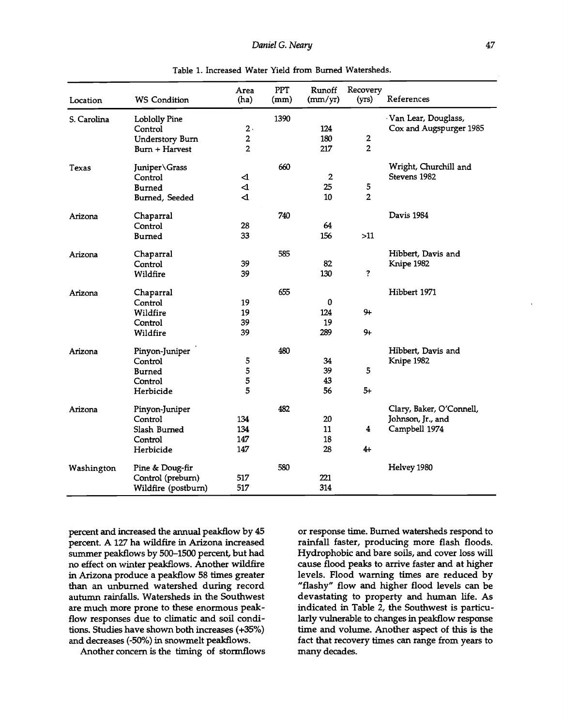| Location    | <b>WS Condition</b>    | Area<br>(ha)   | PPT<br>(mm) | Runoff<br>(mm/yr) | Recovery<br>(yrs)       | References               |
|-------------|------------------------|----------------|-------------|-------------------|-------------------------|--------------------------|
| S. Carolina | Loblolly Pine          |                | 1390        |                   |                         | Van Lear, Douglass,      |
|             | Control                | $2 \cdot$      |             | 124               |                         | Cox and Augspurger 1985  |
|             | <b>Understory Burn</b> | 2              |             | 180               | $\overline{\mathbf{2}}$ |                          |
|             | Burn + Harvest         | $\overline{2}$ |             | 217               | $\overline{2}$          |                          |
| Texas       | Juniper\Grass          |                | 660         |                   |                         | Wright, Churchill and    |
|             | Control                | ◁              |             | $\overline{2}$    |                         | Stevens 1982             |
|             | Burned                 | ◁              |             | 25                | 5                       |                          |
|             | Burned, Seeded         | ◁              |             | 10                | $\overline{2}$          |                          |
| Arizona     | Chaparral              |                | 740         |                   |                         | Davis 1984               |
|             | Control                | 28             |             | 64                |                         |                          |
|             | Burned                 | 33             |             | 156               | $>11$                   |                          |
| Arizona     | Chaparral              |                | 585         |                   |                         | Hibbert, Davis and       |
|             | Control                | 39             |             | 82                |                         | Knipe 1982               |
|             | Wildfire               | 39             |             | 130               | ?                       |                          |
| Arizona     | Chaparral              |                | 655         |                   |                         | Hibbert 1971             |
|             | Control                | 19             |             | 0                 |                         |                          |
|             | Wildfire               | 19             |             | 124               | 9+                      |                          |
|             | Control                | 39             |             | 19                |                         |                          |
|             | Wildfire               | 39             |             | 289               | 9+                      |                          |
| Arizona     | Pinyon-Juniper         |                | 480         |                   |                         | Hibbert, Davis and       |
|             | Control                | 5              |             | 34                |                         | Knipe 1982               |
|             | Burned                 | 5              |             | 39                | 5                       |                          |
|             | Control                | 5              |             | 43                |                         |                          |
|             | Herbicide              | 5              |             | 56                | $5+$                    |                          |
| Arizona     | Pinyon-Juniper         |                | 482         |                   |                         | Clary, Baker, O'Connell, |
|             | Control                | 134            |             | 20                |                         | Johnson, Jr., and        |
|             | Slash Burned           | 134            |             | 11                | $\overline{\mathbf{4}}$ | Campbell 1974            |
|             | Control                | 147            |             | 18                |                         |                          |
|             | Herbicide              | 147            |             | 28                | 4+                      |                          |
| Washington  | Pine & Doug-fir        |                | 580         |                   |                         | Helvey 1980              |
|             | Control (preburn)      | 517            |             | 221               |                         |                          |
|             | Wildfire (postburn)    | 517            |             | 314               |                         |                          |

Table 1. Increased Water Yield from Burned Watersheds.

percent and increased the annual peakflow by 45 percent. A 127 ha wildfire in Arizona increased summer peakflows by 500-1500 percent, but had no effect on winter peakflows. Another wildfire in Arizona produce a peakflow 58 times greater than an unburned watershed during record autumn rainfalls. Watersheds in the Southwest are much more prone to these enormous peak flow responses due to climatic and soil conditions. Studies have shown both increases (+35%) and decreases (-50%) in snowmelt peakflows.

Another concern is the timing of stormflows

or response time. Burned watersheds respond to rainfall faster, producing more flash floods. Hydrophobic and bare soils, and cover loss will cause flood peaks to arrive faster and at higher levels. Flood warning times are reduced by "flashy" flow and higher flood levels can be devastating to property and human life. As indicated in Table 2, the Southwest is particularly vulnerable to changes in peakflow response time and volume. Another aspect of this is the fact that recovery times can range from years to many decades.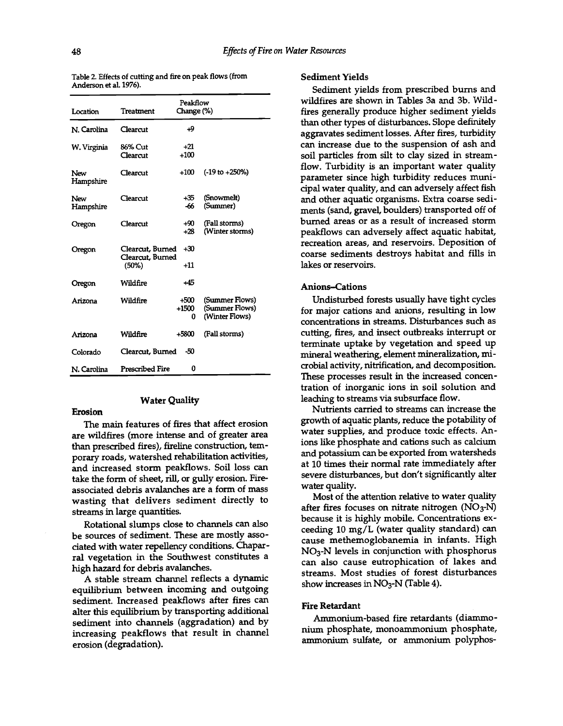| Table 2. Effects of cutting and fire on peak flows (from |  |
|----------------------------------------------------------|--|
| Anderson et al. 1976).                                   |  |

| Location         | Treatment                                     | Peakflow<br>Change (%) |                                                    |
|------------------|-----------------------------------------------|------------------------|----------------------------------------------------|
| N. Carolina      | Clearcut                                      | 49                     |                                                    |
| W. Virginia      | 86% Cut<br>Clearcut                           | $+21$<br>$+100$        |                                                    |
| New<br>Hampshire | Clearcut                                      | $+100$                 | $(-19 to +250%)$                                   |
| New<br>Hampshire | Clearout                                      | $+35$<br>-66           | (Snowmelt)<br>(Summer)                             |
| Oregon           | Clearcut                                      | $+90$<br>+28           | (Fall storms)<br>(Winter storms)                   |
| Oregon           | Clearcut, Burned<br>Clearcut, Burned<br>(50%) | $+30$<br>$+11$         |                                                    |
| Oregon           | Wildfire                                      | -45                    |                                                    |
| Arizona          | Wildfire                                      | $+500$<br>$+1500$<br>0 | (Summer Flows)<br>(Summer Flows)<br>(Winter Flows) |
| Arizona          | Wildfire                                      | +5800                  | (Fall storms)                                      |
| Colorado         | Clearcut, Burned                              | -50                    |                                                    |
| N. Carolina      | Prescribed Fire                               | 0                      |                                                    |

# Erosion

The main features of fires that affect erosion are wildfires (more intense and of greater area than prescribed fires), fireline construction, temporary roads, watershed rehabilitation activities, and increased storm peakflows. Soil loss can take the form of sheet, rill, or gully erosion. Fireassociated debris avalanches are a form of mass wasting that delivers sediment directly to streams in large quantities.

Water Quality

Rotational slumps close to channels can also be sources of sediment. These are mostly associated with water repellency conditions. Chaparral vegetation in the Southwest constitutes a high hazard for debris avalanches.

A stable stream channel reflects a dynamic equilibrium between incoming and outgoing sediment. Increased peakflows after fires can alter this equilibrium by transporting additional sediment into channels (aggradation) and by increasing peakflows that result in channel erosion (degradation).

## Sediment Yields

Sediment yields from prescribed burns and wildfires are shown in Tables 3a and 3b. Wildfires generally produce higher sediment yields than other types of disturbances. Slope definitely aggravates sediment losses. After fires, turbidity can increase due to the suspension of ash and soil particles from silt to clay sized in stream flow. Turbidity is an important water quality parameter since high turbidity reduces municipal water quality, and can adversely affect fish and other aquatic organisms. Extra coarse sediments (sand, gravel, boulders) transported off of burned areas or as a result of increased storm peakflows can adversely affect aquatic habitat, recreation areas, and reservoirs. Deposition of coarse sediments destroys habitat and fills in lakes or reservoirs.

## Anions-Cations

Undisturbed forests usually have tight cycles for major cations and anions, resulting in low concentrations in streams. Disturbances such as cutting, fires, and insect outbreaks interrupt or terminate uptake by vegetation and speed up mineral weathering, element mineralization, microbial activity, nitrification, and decomposition. These processes result in the increased concentration of inorganic ions in soil solution and leaching to streams via subsurface flow.

Nutrients carried to streams can increase the growth of aquatic plants, reduce the potability of water supplies, and produce toxic effects. Anions like phosphate and cations such as calcium and potassium can be exported from watersheds at 10 times their normal rate immediately after severe disturbances, but don't significantly alter water quality.

Most of the attention relative to water quality after fires focuses on nitrate nitrogen  $(NO<sub>3</sub>-N)$ because it is highly mobile. Concentrations exceeding 10 mg /L (water quality standard) can cause methemoglobanemia in infants. High NO3 -N levels in conjunction with phosphorus can also cause eutrophication of lakes and streams. Most studies of forest disturbances show increases in  $NO<sub>3</sub>-N$  (Table 4).

## Fire Retardant

Ammonium -based fire retardants (diammonium phosphate, monoammonium phosphate, ammonium sulfate, or ammonium polyphos-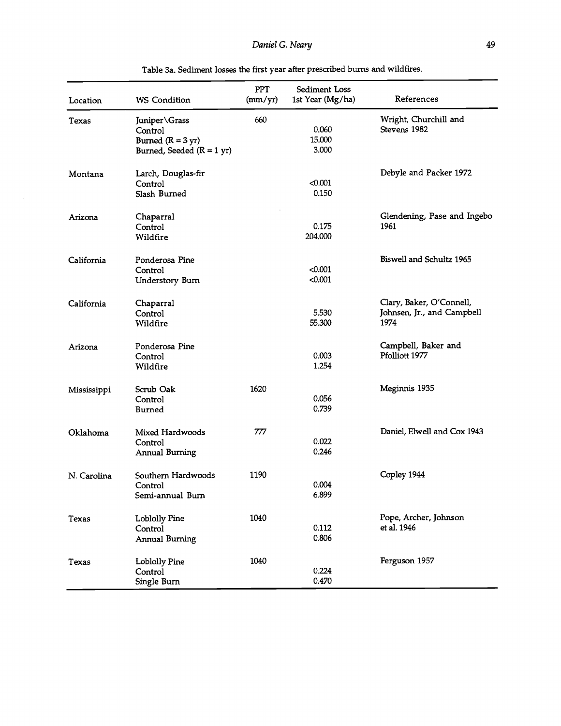| Location    | <b>WS Condition</b>         | PPT<br>(mm/yr) | Sediment Loss<br>1st Year (Mg/ha) | References                  |
|-------------|-----------------------------|----------------|-----------------------------------|-----------------------------|
| Texas       | Juniper\Grass               | 660            |                                   | Wright, Churchill and       |
|             | Control                     |                | 0.060                             | Stevens 1982                |
|             | Burned $(R = 3 yr)$         |                | 15.000                            |                             |
|             | Burned, Seeded $(R = 1 yr)$ |                | 3.000                             |                             |
| Montana     | Larch, Douglas-fir          |                |                                   | Debyle and Packer 1972      |
|             | Control                     |                | < 0.001                           |                             |
|             | Slash Burned                |                | 0.150                             |                             |
| Arizona     | Chaparral                   |                |                                   | Glendening, Pase and Ingebo |
|             | Control                     |                | 0.175                             | 1961                        |
|             | Wildfire                    |                | 204.000                           |                             |
| California  | Ponderosa Pine              |                |                                   | Biswell and Schultz 1965    |
|             | Control                     |                | < 0.001                           |                             |
|             | Understory Burn             |                | < 0.001                           |                             |
| California  | Chaparral                   |                |                                   | Clary, Baker, O'Connell,    |
|             | Control                     |                | 5.530                             | Johnsen, Jr., and Campbell  |
|             | Wildfire                    |                | 55.300                            | 1974                        |
| Arizona     | Ponderosa Pine              |                |                                   | Campbell, Baker and         |
|             | Control                     |                | 0.003                             | Pfolliott 1977              |
|             | Wildfire                    |                | 1.254                             |                             |
| Mississippi | Scrub Oak                   | 1620           |                                   | Meginnis 1935               |
|             | Control                     |                | 0.056                             |                             |
|             | Burned                      |                | 0.739                             |                             |
| Oklahoma    | Mixed Hardwoods             | 777            |                                   | Daniel, Elwell and Cox 1943 |
|             | Control                     |                | 0.022                             |                             |
|             | <b>Annual Burning</b>       |                | 0.246                             |                             |
| N. Carolina | Southern Hardwoods          | 1190           |                                   | Copley 1944                 |
|             | Control                     |                | 0.004                             |                             |
|             | Semi-annual Burn            |                | 6.899                             |                             |
| Texas       | Loblolly Pine               | 1040           |                                   | Pope, Archer, Johnson       |
|             | Control                     |                | 0.112                             | et al. 1946                 |
|             | <b>Annual Burning</b>       |                | 0.806                             |                             |
| Texas       | <b>Loblolly Pine</b>        | 1040           |                                   | Ferguson 1957               |
|             | Control                     |                | 0.224                             |                             |
|             | Single Burn                 |                | 0.470                             |                             |

Table 3a. Sediment losses the first year after prescribed burns and wildfires.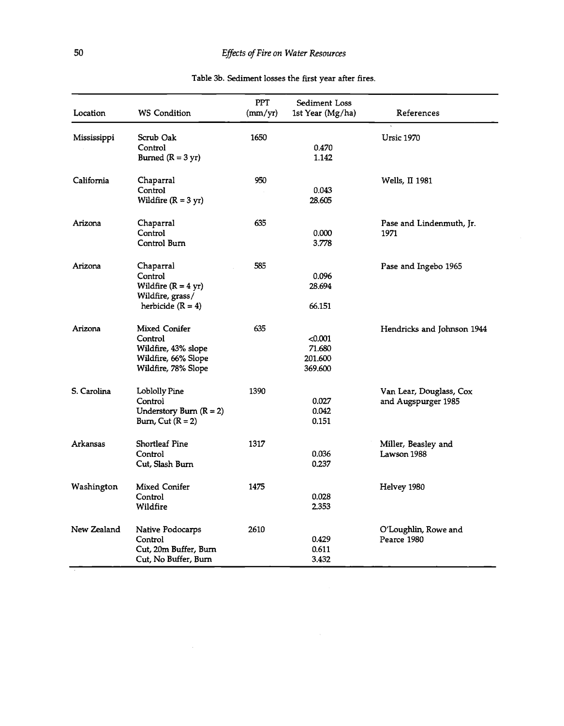| Location    | <b>WS Condition</b>                       | PPT<br>(mm/yr) | Sediment Loss<br>1st Year (Mg/ha) | References                 |
|-------------|-------------------------------------------|----------------|-----------------------------------|----------------------------|
| Mississippi | Scrub Oak                                 | 1650           |                                   | <b>Ursic 1970</b>          |
|             | Control                                   |                | 0.470                             |                            |
|             | Burned $(R = 3 yr)$                       |                | 1.142                             |                            |
| California  | Chaparral                                 | 950            |                                   | Wells, II 1981             |
|             | Control                                   |                | 0.043                             |                            |
|             | Wildfire $(R = 3 yr)$                     |                | 28.605                            |                            |
| Arizona     | Chaparral                                 | 635            |                                   | Pase and Lindenmuth, Jr.   |
|             | Control                                   |                | 0.000                             | 1971                       |
|             | Control Burn                              |                | 3.778                             |                            |
| Arizona     | Chaparral                                 | 585            |                                   | Pase and Ingebo 1965       |
|             | Control                                   |                | 0.096                             |                            |
|             | Wildfire $(R = 4 yr)$<br>Wildfire, grass/ |                | 28.694                            |                            |
|             | herbicide $(R = 4)$                       |                | 66.151                            |                            |
| Arizona     | Mixed Conifer                             | 635            |                                   | Hendricks and Johnson 1944 |
|             | Control                                   |                | < 0.001                           |                            |
|             | Wildfire, 43% slope                       |                | 71.680                            |                            |
|             | Wildfire, 66% Slope                       |                | 201.600                           |                            |
|             | Wildfire, 78% Slope                       |                | 369.600                           |                            |
| S. Carolina | <b>Loblolly Pine</b>                      | 1390           |                                   | Van Lear, Douglass, Cox    |
|             | Control                                   |                | 0.027                             | and Augspurger 1985        |
|             | Understory Burn $(R = 2)$                 |                | 0.042                             |                            |
|             | Burn, Cut $(R = 2)$                       |                | 0.151                             |                            |
| Arkansas    | Shortleaf Pine                            | 1317           |                                   | Miller, Beasley and        |
|             | Control                                   |                | 0.036                             | Lawson 1988                |
|             | Cut, Slash Burn                           |                | 0.237                             |                            |
| Washington  | <b>Mixed Conifer</b>                      | 1475           |                                   | Helvey 1980                |
|             | Control                                   |                | 0.028                             |                            |
|             | Wildfire                                  |                | 2.353                             |                            |
| New Zealand | Native Podocarps                          | 2610           |                                   | O'Loughlin, Rowe and       |
|             | Control                                   |                | 0.429                             | Pearce 1980                |
|             | Cut, 20m Buffer, Burn                     |                | 0.611                             |                            |
|             | Cut, No Buffer, Burn                      |                | 3.432                             |                            |

# Table 3b. Sediment losses the first year after fires.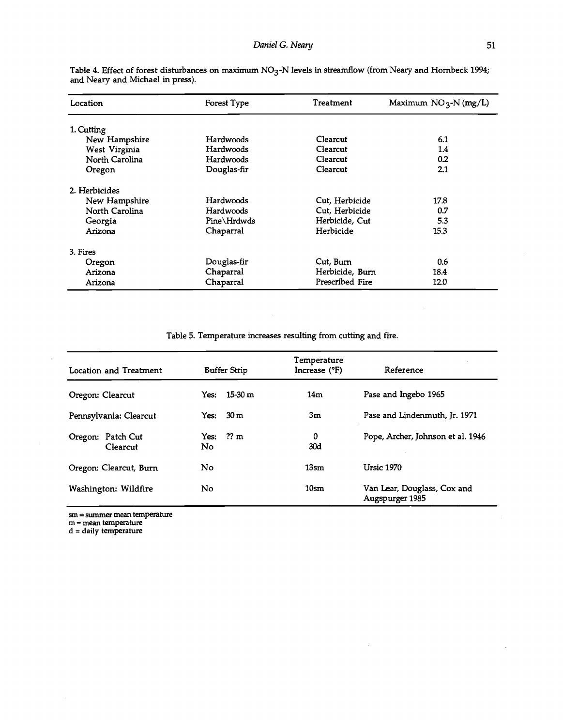| Location       | Forest Type | Treatment       | Maximum $NO_3-N$ (mg/L) |
|----------------|-------------|-----------------|-------------------------|
| 1. Cutting     |             |                 |                         |
| New Hampshire  | Hardwoods   | Clearcut        | 6.1                     |
| West Virginia  | Hardwoods   | Clearcut        | 1.4                     |
| North Carolina | Hardwoods   | Clearcut        | 0.2                     |
| Oregon         | Douglas-fir | Clearcut        | 2.1                     |
| 2. Herbicides  |             |                 |                         |
| New Hampshire  | Hardwoods   | Cut, Herbicide  | 17.8                    |
| North Carolina | Hardwoods   | Cut, Herbicide  | 0.7                     |
| Georgia        | Pine\Hrdwds | Herbicide, Cut  | 5.3                     |
| Arizona        | Chaparral   | Herbicide       | 15.3                    |
| 3. Fires       |             |                 |                         |
| Oregon         | Douglas-fir | Cut, Burn       | 0.6                     |
| Arizona        | Chaparral   | Herbicide, Burn | 18.4                    |
| Arizona        | Chaparral   | Prescribed Fire | 12.0                    |

Table 4. Effect of forest disturbances on maximum NO3-N levels in streamflow (from Neary and Hornbeck 1994;  $\,$ and Neary and Michael in press).

Table 5. Temperature increases resulting from cutting and fire.

| Location and Treatment        | <b>Buffer Strip</b> | Temperature<br>Increase $(^{\circ}F)$ | Reference                                      |
|-------------------------------|---------------------|---------------------------------------|------------------------------------------------|
| Oregon: Clearcut              | 15-30 m<br>Yes:     | 14 <sub>m</sub>                       | Pase and Ingebo 1965                           |
| Pennsylvania: Clearcut        | Yes: 30 m           | 3m                                    | Pase and Lindenmuth, Ir. 1971                  |
| Oregon: Patch Cut<br>Clearcut | $Yes:$ ?? m<br>No.  | 0<br>30d                              | Pope, Archer, Johnson et al. 1946              |
| Oregon: Clearcut, Burn        | No                  | 13 <sub>sm</sub>                      | <b>Ursic 1970</b>                              |
| Washington: Wildfire          | No.                 | 10 <sub>sm</sub>                      | Van Lear, Douglass, Cox and<br>Augspurger 1985 |

sm = summer mean temperature

m = mean temperature

d = daily temperature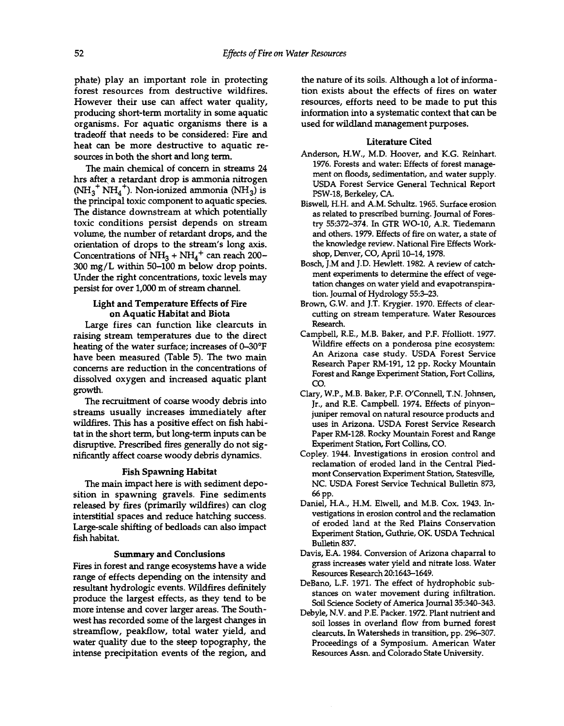phate) play an important role in protecting forest resources from destructive wildfires. However their use can affect water quality, producing short -term mortality in some aquatic organisms. For aquatic organisms there is a tradeoff that needs to be considered: Fire and heat can be more destructive to aquatic resources in both the short and long term.

The main chemical of concern in streams 24 hrs after, a retardant drop is ammonia nitrogen  $(NH_3^T NH_4^T)$ . Non-ionized ammonia  $(NH_3)$  is the principal toxic component to aquatic species. The distance downstream at which potentially toxic conditions persist depends on stream volume, the number of retardant drops, and the orientation of drops to the stream's long axis. Concentrations of  $NH_3 + NH_4$ <sup>+</sup> can reach 200-300 mg/L within 50-100 m below drop points. Under the right concentrations, toxic levels may persist for over 1,000 m of stream channel.

## Light and Temperature Effects of Fire on Aquatic Habitat and Biota

Large fires can function like clearcuts in raising stream temperatures due to the direct heating of the water surface; increases of  $0-30^{\circ}$ F have been measured (Table 5). The two main concerns are reduction in the concentrations of dissolved oxygen and increased aquatic plant growth.

The recruitment of coarse woody debris into streams usually increases immediately after wildfires. This has a positive effect on fish habitat in the short term, but long -term inputs can be disruptive. Prescribed fires generally do not significantly affect coarse woody debris dynamics.

## Fish Spawning Habitat

The main impact here is with sediment deposition in spawning gravels. Fine sediments released by fires (primarily wildfires) can clog interstitial spaces and reduce hatching success. Large -scale shifting of bedloads can also impact fish habitat.

#### Summary and Conclusions

Fires in forest and range ecosystems have a wide range of effects depending on the intensity and resultant hydrologic events. Wildfires definitely produce the largest effects, as they tend to be more intense and cover larger areas. The Southwest has recorded some of the largest changes in streamflow, peakflow, total water yield, and water quality due to the steep topography, the intense precipitation events of the region, and

the nature of its soils. Although a lot of information exists about the effects of fires on water resources, efforts need to be made to put this information into a systematic context that can be used for wildland management purposes.

## Literature Cited

- Anderson, H.W., M.D. Hoover, and K.G. Reinhart. 1976. Forests and water: Effects of forest management on floods, sedimentation, and water supply. USDA Forest Service General Technical Report PSW-18, Berkeley, CA.
- Biswell, H.H. and A.M. Schultz. 1965. Surface erosion as related to prescribed burning. Journal of Forestry 55:372 -374. In GTR WO -10, A.R. Tiedemann and others. 1979. Effects of fire on water, a state of the knowledge review. National Fire Effects Workshop, Denver, CO, April 10-14, 1978.
- Bosch, J.M and J.D. Hewlett. 1982. A review of catchment experiments to determine the effect of vegetation changes on water yield and evapotranspiration. Journal of Hydrology 55:3-23.
- Brown, G.W. and J.T. Krygier. 1970. Effects of clearcutting on stream temperature. Water Resources Research.
- Campbell, R.E., M.B. Baker, and P.F. Ffolliott. 1977. Wildfire effects on a ponderosa pine ecosystem: An Arizona case study. USDA Forest Service Research Paper RM-191, 12 pp. Rocky Mountain Forest and Range Experiment Station, Fort Collins, CO.
- Clary, W.P., M.B. Baker, P.F. O'Connell, T.N. Johnsen, Jr., and R.E. Campbell. 1974. Effects of pinyonjuniper removal on natural resource products and uses in Arizona. USDA Forest Service Research Paper RM-128. Rocky Mountain Forest and Range Experiment Station, Fort Collins, CO.
- Copley. 1944. Investigations in erosion control and reclamation of eroded land in the Central Piedmont Conservation Experiment Station, Statesville, NC. USDA Forest Service Technical Bulletin 873, 66 pp.
- Daniel, H.A., H.M. Elwell, and M.B. Cox. 1943. Investigations in erosion control and the reclamation of eroded land at the Red Plains Conservation Experiment Station, Guthrie, OK. USDA Technical Bulletin 837.
- Davis, E.A. 1984. Conversion of Arizona chaparral to grass increases water yield and nitrate loss. Water Resources Research 20:1643-1649.
- DeBano, L.F. 1971. The effect of hydrophobic substances on water movement during infiltration. Soil Science Society of America Journal 35:340-343.
- Debyle, N.V. and P.E. Packer. 1972. Plant nutrient and soil losses in overland flow from burned forest clearcuts. In Watersheds in transition, pp. 296 -307. Proceedings of a Symposium. American Water Resources Assn. and Colorado State University.